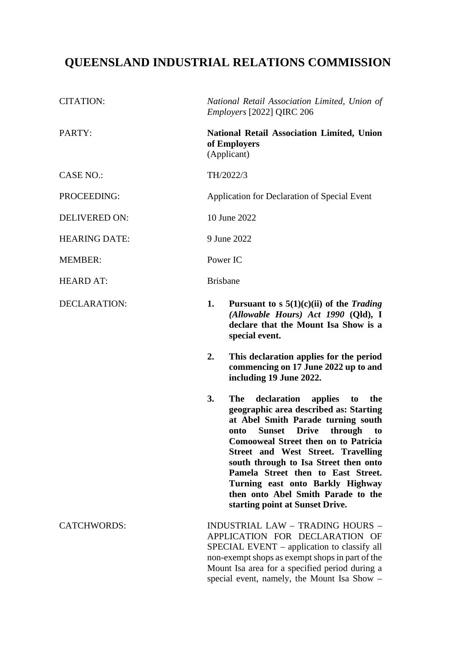# **QUEENSLAND INDUSTRIAL RELATIONS COMMISSION**

| <b>CITATION:</b>     | National Retail Association Limited, Union of<br>Employers [2022] QIRC 206       |                                                                                                                                                                                                                                                                                                                                                                                                                                                                                     |
|----------------------|----------------------------------------------------------------------------------|-------------------------------------------------------------------------------------------------------------------------------------------------------------------------------------------------------------------------------------------------------------------------------------------------------------------------------------------------------------------------------------------------------------------------------------------------------------------------------------|
| PARTY:               | <b>National Retail Association Limited, Union</b><br>of Employers<br>(Applicant) |                                                                                                                                                                                                                                                                                                                                                                                                                                                                                     |
| <b>CASE NO.:</b>     | TH/2022/3                                                                        |                                                                                                                                                                                                                                                                                                                                                                                                                                                                                     |
| PROCEEDING:          | Application for Declaration of Special Event                                     |                                                                                                                                                                                                                                                                                                                                                                                                                                                                                     |
| <b>DELIVERED ON:</b> | 10 June 2022                                                                     |                                                                                                                                                                                                                                                                                                                                                                                                                                                                                     |
| <b>HEARING DATE:</b> | 9 June 2022                                                                      |                                                                                                                                                                                                                                                                                                                                                                                                                                                                                     |
| <b>MEMBER:</b>       | Power IC                                                                         |                                                                                                                                                                                                                                                                                                                                                                                                                                                                                     |
| <b>HEARD AT:</b>     | <b>Brisbane</b>                                                                  |                                                                                                                                                                                                                                                                                                                                                                                                                                                                                     |
| <b>DECLARATION:</b>  | 1.                                                                               | Pursuant to s $5(1)(c)(ii)$ of the Trading<br>(Allowable Hours) Act 1990 (Qld), I<br>declare that the Mount Isa Show is a<br>special event.                                                                                                                                                                                                                                                                                                                                         |
|                      | 2.                                                                               | This declaration applies for the period<br>commencing on 17 June 2022 up to and<br>including 19 June 2022.                                                                                                                                                                                                                                                                                                                                                                          |
|                      | 3.                                                                               | <b>The</b><br>declaration<br>applies<br>the<br>to<br>geographic area described as: Starting<br>at Abel Smith Parade turning south<br><b>Drive</b><br>through<br><b>Sunset</b><br>onto<br>to<br><b>Comooweal Street then on to Patricia</b><br><b>Street and West Street. Travelling</b><br>south through to Isa Street then onto<br>Pamela Street then to East Street.<br>Turning east onto Barkly Highway<br>then onto Abel Smith Parade to the<br>starting point at Sunset Drive. |
| <b>CATCHWORDS:</b>   |                                                                                  | <b>INDUSTRIAL LAW - TRADING HOURS -</b><br>APPLICATION FOR DECLARATION OF<br>SPECIAL EVENT – application to classify all<br>non-exempt shops as exempt shops in part of the<br>Mount Isa area for a specified period during a<br>special event, namely, the Mount Isa Show -                                                                                                                                                                                                        |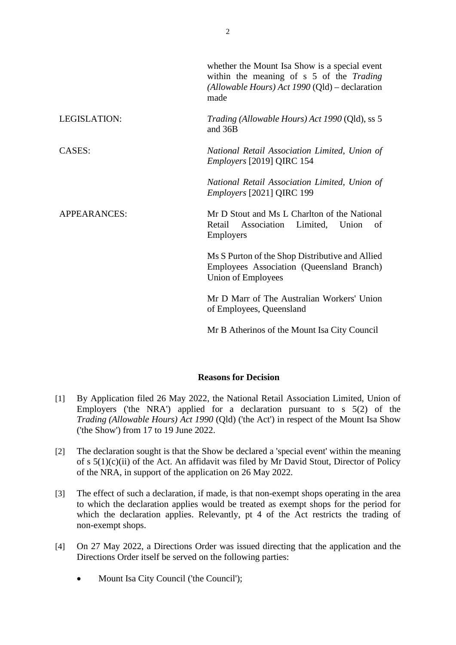|              | whether the Mount Isa Show is a special event<br>within the meaning of s 5 of the Trading<br>(Allowable Hours) Act 1990 (Qld) – declaration<br>made |
|--------------|-----------------------------------------------------------------------------------------------------------------------------------------------------|
| LEGISLATION: | Trading (Allowable Hours) Act 1990 (Qld), ss 5<br>and 36B                                                                                           |
| CASES:       | National Retail Association Limited, Union of<br>Employers [2019] QIRC 154                                                                          |
|              | National Retail Association Limited, Union of<br>Employers [2021] QIRC 199                                                                          |
| APPEARANCES: | Mr D Stout and Ms L Charlton of the National<br>Retail Association Limited,<br>Union<br>of<br>Employers                                             |
|              | Ms S Purton of the Shop Distributive and Allied<br>Employees Association (Queensland Branch)<br>Union of Employees                                  |
|              | Mr D Marr of The Australian Workers' Union<br>of Employees, Queensland                                                                              |
|              | Mr B Atherinos of the Mount Isa City Council                                                                                                        |

# **Reasons for Decision**

- [1] By Application filed 26 May 2022, the National Retail Association Limited, Union of Employers ('the NRA') applied for a declaration pursuant to s 5(2) of the *Trading (Allowable Hours) Act 1990* (Qld) ('the Act') in respect of the Mount Isa Show ('the Show') from 17 to 19 June 2022.
- [2] The declaration sought is that the Show be declared a 'special event' within the meaning of s 5(1)(c)(ii) of the Act. An affidavit was filed by Mr David Stout, Director of Policy of the NRA, in support of the application on 26 May 2022.
- [3] The effect of such a declaration, if made, is that non-exempt shops operating in the area to which the declaration applies would be treated as exempt shops for the period for which the declaration applies. Relevantly, pt 4 of the Act restricts the trading of non-exempt shops.
- [4] On 27 May 2022, a Directions Order was issued directing that the application and the Directions Order itself be served on the following parties:
	- Mount Isa City Council ('the Council');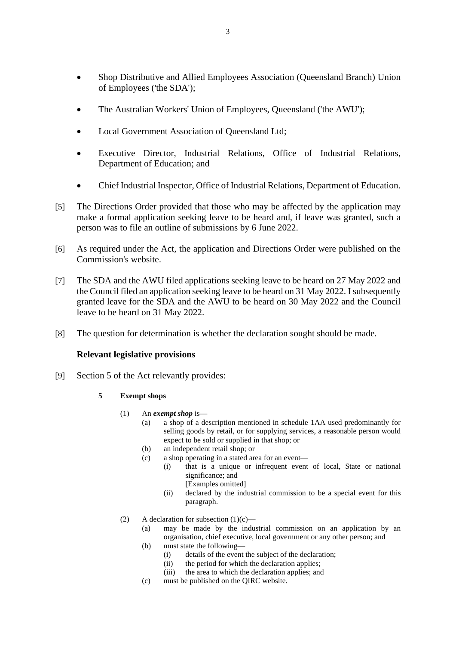- Shop Distributive and Allied Employees Association (Queensland Branch) Union of Employees ('the SDA');
- The Australian Workers' Union of Employees, Queensland ('the AWU');
- Local Government Association of Queensland Ltd;
- Executive Director, Industrial Relations, Office of Industrial Relations, Department of Education; and
- Chief Industrial Inspector, Office of Industrial Relations, Department of Education.
- [5] The Directions Order provided that those who may be affected by the application may make a formal application seeking leave to be heard and, if leave was granted, such a person was to file an outline of submissions by 6 June 2022.
- [6] As required under the Act, the application and Directions Order were published on the Commission's website.
- [7] The SDA and the AWU filed applications seeking leave to be heard on 27 May 2022 and the Council filed an application seeking leave to be heard on 31 May 2022. I subsequently granted leave for the SDA and the AWU to be heard on 30 May 2022 and the Council leave to be heard on 31 May 2022.
- [8] The question for determination is whether the declaration sought should be made.

### **Relevant legislative provisions**

- [9] Section 5 of the Act relevantly provides:
	- **5 Exempt shops**
		- (1) An *exempt shop* is—
			- (a) a shop of a description mentioned in schedule 1AA used predominantly for selling goods by retail, or for supplying services, a reasonable person would expect to be sold or supplied in that shop; or
			- (b) an independent retail shop; or
			- (c) a shop operating in a stated area for an event—
				- (i) that is a unique or infrequent event of local, State or national significance; and [Examples omitted]
					- (ii) declared by the industrial commission to be a special event for this paragraph.
		- (2) A declaration for subsection  $(1)(c)$ 
			- (a) may be made by the industrial commission on an application by an organisation, chief executive, local government or any other person; and
			- (b) must state the following—
				- (i) details of the event the subject of the declaration;
				- (ii) the period for which the declaration applies;
				- (iii) the area to which the declaration applies; and
			- (c) must be published on the QIRC website.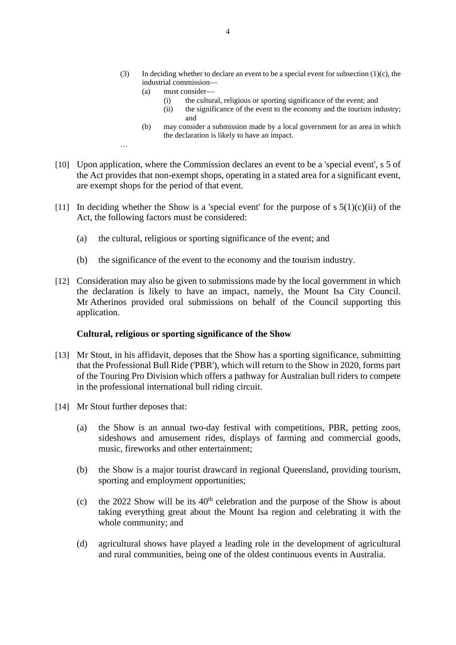- (3) In deciding whether to declare an event to be a special event for subsection  $(1)(c)$ , the industrial commission—
	- (a) must consider—
		- (i) the cultural, religious or sporting significance of the event; and
		- (ii) the significance of the event to the economy and the tourism industry; and
	- (b) may consider a submission made by a local government for an area in which the declaration is likely to have an impact.
- [10] Upon application, where the Commission declares an event to be a 'special event', s 5 of the Act provides that non-exempt shops, operating in a stated area for a significant event, are exempt shops for the period of that event.
- [11] In deciding whether the Show is a 'special event' for the purpose of s  $5(1)(c)(ii)$  of the Act, the following factors must be considered:
	- (a) the cultural, religious or sporting significance of the event; and
	- (b) the significance of the event to the economy and the tourism industry.
- [12] Consideration may also be given to submissions made by the local government in which the declaration is likely to have an impact, namely, the Mount Isa City Council. Mr Atherinos provided oral submissions on behalf of the Council supporting this application.

### **Cultural, religious or sporting significance of the Show**

- [13] Mr Stout, in his affidavit, deposes that the Show has a sporting significance, submitting that the Professional Bull Ride ('PBR'), which will return to the Show in 2020, forms part of the Touring Pro Division which offers a pathway for Australian bull riders to compete in the professional international bull riding circuit.
- [14] Mr Stout further deposes that:

…

- (a) the Show is an annual two-day festival with competitions, PBR, petting zoos, sideshows and amusement rides, displays of farming and commercial goods, music, fireworks and other entertainment;
- (b) the Show is a major tourist drawcard in regional Queensland, providing tourism, sporting and employment opportunities;
- (c) the 2022 Show will be its  $40<sup>th</sup>$  celebration and the purpose of the Show is about taking everything great about the Mount Isa region and celebrating it with the whole community; and
- (d) agricultural shows have played a leading role in the development of agricultural and rural communities, being one of the oldest continuous events in Australia.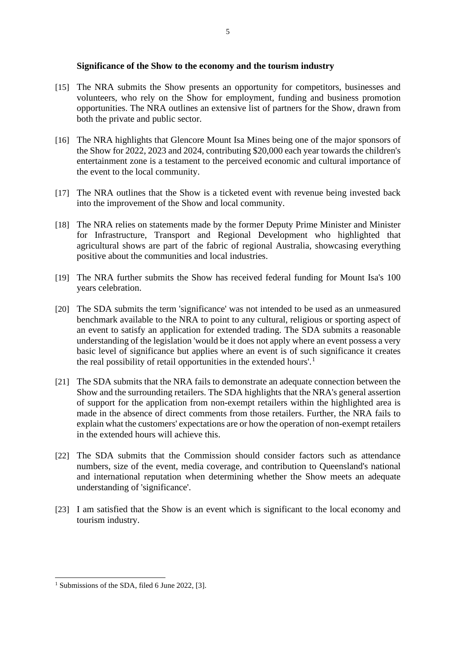## **Significance of the Show to the economy and the tourism industry**

- [15] The NRA submits the Show presents an opportunity for competitors, businesses and volunteers, who rely on the Show for employment, funding and business promotion opportunities. The NRA outlines an extensive list of partners for the Show, drawn from both the private and public sector.
- [16] The NRA highlights that Glencore Mount Isa Mines being one of the major sponsors of the Show for 2022, 2023 and 2024, contributing \$20,000 each year towards the children's entertainment zone is a testament to the perceived economic and cultural importance of the event to the local community.
- [17] The NRA outlines that the Show is a ticketed event with revenue being invested back into the improvement of the Show and local community.
- [18] The NRA relies on statements made by the former Deputy Prime Minister and Minister for Infrastructure, Transport and Regional Development who highlighted that agricultural shows are part of the fabric of regional Australia, showcasing everything positive about the communities and local industries.
- [19] The NRA further submits the Show has received federal funding for Mount Isa's 100 years celebration.
- [20] The SDA submits the term 'significance' was not intended to be used as an unmeasured benchmark available to the NRA to point to any cultural, religious or sporting aspect of an event to satisfy an application for extended trading. The SDA submits a reasonable understanding of the legislation 'would be it does not apply where an event possess a very basic level of significance but applies where an event is of such significance it creates the real possibility of retail opportunities in the extended hours'.<sup>[1](#page-4-0)</sup>
- [21] The SDA submits that the NRA fails to demonstrate an adequate connection between the Show and the surrounding retailers. The SDA highlights that the NRA's general assertion of support for the application from non-exempt retailers within the highlighted area is made in the absence of direct comments from those retailers. Further, the NRA fails to explain what the customers' expectations are or how the operation of non-exempt retailers in the extended hours will achieve this.
- [22] The SDA submits that the Commission should consider factors such as attendance numbers, size of the event, media coverage, and contribution to Queensland's national and international reputation when determining whether the Show meets an adequate understanding of 'significance'.
- [23] I am satisfied that the Show is an event which is significant to the local economy and tourism industry.

5

<span id="page-4-0"></span><sup>&</sup>lt;sup>1</sup> Submissions of the SDA, filed 6 June 2022, [3].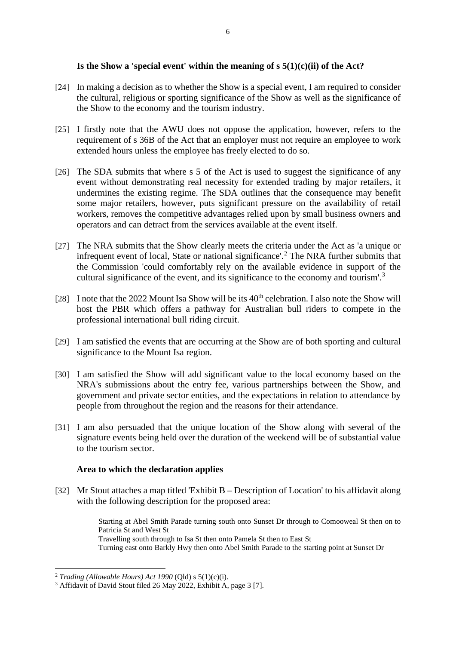# **Is the Show a 'special event' within the meaning of s 5(1)(c)(ii) of the Act?**

- [24] In making a decision as to whether the Show is a special event, I am required to consider the cultural, religious or sporting significance of the Show as well as the significance of the Show to the economy and the tourism industry.
- [25] I firstly note that the AWU does not oppose the application, however, refers to the requirement of s 36B of the Act that an employer must not require an employee to work extended hours unless the employee has freely elected to do so.
- [26] The SDA submits that where s 5 of the Act is used to suggest the significance of any event without demonstrating real necessity for extended trading by major retailers, it undermines the existing regime. The SDA outlines that the consequence may benefit some major retailers, however, puts significant pressure on the availability of retail workers, removes the competitive advantages relied upon by small business owners and operators and can detract from the services available at the event itself.
- [27] The NRA submits that the Show clearly meets the criteria under the Act as 'a unique or infrequent event of local, State or national significance'.<sup>[2](#page-5-0)</sup> The NRA further submits that the Commission 'could comfortably rely on the available evidence in support of the cultural significance of the event, and its significance to the economy and tourism'.<sup>[3](#page-5-1)</sup>
- [28] I note that the 2022 Mount Isa Show will be its  $40<sup>th</sup>$  celebration. I also note the Show will host the PBR which offers a pathway for Australian bull riders to compete in the professional international bull riding circuit.
- [29] I am satisfied the events that are occurring at the Show are of both sporting and cultural significance to the Mount Isa region.
- [30] I am satisfied the Show will add significant value to the local economy based on the NRA's submissions about the entry fee, various partnerships between the Show, and government and private sector entities, and the expectations in relation to attendance by people from throughout the region and the reasons for their attendance.
- [31] I am also persuaded that the unique location of the Show along with several of the signature events being held over the duration of the weekend will be of substantial value to the tourism sector.

### **Area to which the declaration applies**

[32] Mr Stout attaches a map titled 'Exhibit B – Description of Location' to his affidavit along with the following description for the proposed area:

> Starting at Abel Smith Parade turning south onto Sunset Dr through to Comooweal St then on to Patricia St and West St Travelling south through to Isa St then onto Pamela St then to East St Turning east onto Barkly Hwy then onto Abel Smith Parade to the starting point at Sunset Dr

<span id="page-5-0"></span><sup>2</sup> *Trading (Allowable Hours) Act 1990* (Qld) s 5(1)(c)(i).

<span id="page-5-1"></span><sup>3</sup> Affidavit of David Stout filed 26 May 2022, Exhibit A, page 3 [7].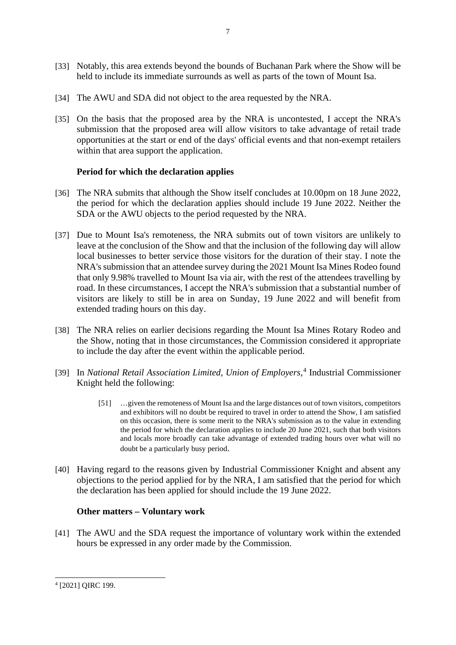- [33] Notably, this area extends beyond the bounds of Buchanan Park where the Show will be held to include its immediate surrounds as well as parts of the town of Mount Isa.
- [34] The AWU and SDA did not object to the area requested by the NRA.
- [35] On the basis that the proposed area by the NRA is uncontested, I accept the NRA's submission that the proposed area will allow visitors to take advantage of retail trade opportunities at the start or end of the days' official events and that non-exempt retailers within that area support the application.

# **Period for which the declaration applies**

- [36] The NRA submits that although the Show itself concludes at 10.00pm on 18 June 2022, the period for which the declaration applies should include 19 June 2022. Neither the SDA or the AWU objects to the period requested by the NRA.
- [37] Due to Mount Isa's remoteness, the NRA submits out of town visitors are unlikely to leave at the conclusion of the Show and that the inclusion of the following day will allow local businesses to better service those visitors for the duration of their stay. I note the NRA's submission that an attendee survey during the 2021 Mount Isa Mines Rodeo found that only 9.98% travelled to Mount Isa via air, with the rest of the attendees travelling by road. In these circumstances, I accept the NRA's submission that a substantial number of visitors are likely to still be in area on Sunday, 19 June 2022 and will benefit from extended trading hours on this day.
- [38] The NRA relies on earlier decisions regarding the Mount Isa Mines Rotary Rodeo and the Show, noting that in those circumstances, the Commission considered it appropriate to include the day after the event within the applicable period.
- [39] In *National Retail Association Limited, Union of Employers*, [4](#page-6-0) Industrial Commissioner Knight held the following:
	- [51] …given the remoteness of Mount Isa and the large distances out of town visitors, competitors and exhibitors will no doubt be required to travel in order to attend the Show, I am satisfied on this occasion, there is some merit to the NRA's submission as to the value in extending the period for which the declaration applies to include 20 June 2021, such that both visitors and locals more broadly can take advantage of extended trading hours over what will no doubt be a particularly busy period.
- [40] Having regard to the reasons given by Industrial Commissioner Knight and absent any objections to the period applied for by the NRA, I am satisfied that the period for which the declaration has been applied for should include the 19 June 2022.

### **Other matters – Voluntary work**

[41] The AWU and the SDA request the importance of voluntary work within the extended hours be expressed in any order made by the Commission.

<span id="page-6-0"></span><sup>4</sup> [2021] QIRC 199.